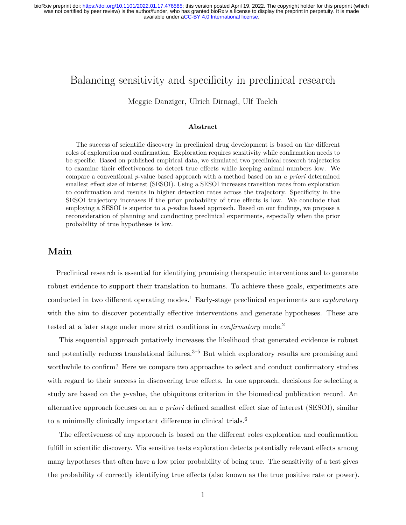# Balancing sensitivity and specificity in preclinical research

Meggie Danziger, Ulrich Dirnagl, Ulf Toelch

#### **Abstract**

The success of scientific discovery in preclinical drug development is based on the different roles of exploration and confirmation. Exploration requires sensitivity while confirmation needs to be specific. Based on published empirical data, we simulated two preclinical research trajectories to examine their effectiveness to detect true effects while keeping animal numbers low. We compare a conventional *p*-value based approach with a method based on an *a priori* determined smallest effect size of interest (SESOI). Using a SESOI increases transition rates from exploration to confirmation and results in higher detection rates across the trajectory. Specificity in the SESOI trajectory increases if the prior probability of true effects is low. We conclude that employing a SESOI is superior to a *p*-value based approach. Based on our findings, we propose a reconsideration of planning and conducting preclinical experiments, especially when the prior probability of true hypotheses is low.

## **Main**

Preclinical research is essential for identifying promising therapeutic interventions and to generate robust evidence to support their translation to humans. To achieve these goals, experiments are conducted in two different operating modes.<sup>1</sup> Early-stage preclinical experiments are *exploratory* with the aim to discover potentially effective interventions and generate hypotheses. These are tested at a later stage under more strict conditions in *confirmatory* mode.<sup>2</sup>

This sequential approach putatively increases the likelihood that generated evidence is robust and potentially reduces translational failures. $3-5$  But which exploratory results are promising and worthwhile to confirm? Here we compare two approaches to select and conduct confirmatory studies with regard to their success in discovering true effects. In one approach, decisions for selecting a study are based on the *p*-value, the ubiquitous criterion in the biomedical publication record. An alternative approach focuses on an *a priori* defined smallest effect size of interest (SESOI), similar to a minimally clinically important difference in clinical trials.<sup>6</sup>

The effectiveness of any approach is based on the different roles exploration and confirmation fulfill in scientific discovery. Via sensitive tests exploration detects potentially relevant effects among many hypotheses that often have a low prior probability of being true. The sensitivity of a test gives the probability of correctly identifying true effects (also known as the true positive rate or power).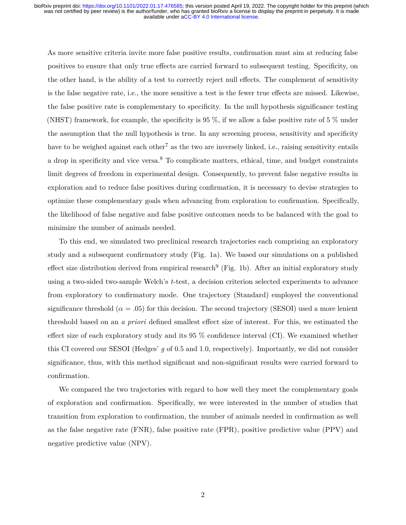As more sensitive criteria invite more false positive results, confirmation must aim at reducing false positives to ensure that only true effects are carried forward to subsequent testing. Specificity, on the other hand, is the ability of a test to correctly reject null effects. The complement of sensitivity is the false negative rate, i.e., the more sensitive a test is the fewer true effects are missed. Likewise, the false positive rate is complementary to specificity. In the null hypothesis significance testing (NHST) framework, for example, the specificity is 95 %, if we allow a false positive rate of 5 % under the assumption that the null hypothesis is true. In any screening process, sensitivity and specificity have to be weighed against each other<sup>7</sup> as the two are inversely linked, i.e., raising sensitivity entails a drop in specificity and vice versa.<sup>8</sup> To complicate matters, ethical, time, and budget constraints limit degrees of freedom in experimental design. Consequently, to prevent false negative results in exploration and to reduce false positives during confirmation, it is necessary to devise strategies to optimize these complementary goals when advancing from exploration to confirmation. Specifically, the likelihood of false negative and false positive outcomes needs to be balanced with the goal to minimize the number of animals needed.

To this end, we simulated two preclinical research trajectories each comprising an exploratory study and a subsequent confirmatory study (Fig. [1a](#page-2-0)). We based our simulations on a published effect size distribution derived from empirical research<sup>9</sup> (Fig. [1b](#page-2-0)). After an initial exploratory study using a two-sided two-sample Welch's *t*-test, a decision criterion selected experiments to advance from exploratory to confirmatory mode. One trajectory (Standard) employed the conventional significance threshold ( $\alpha = .05$ ) for this decision. The second trajectory (SESOI) used a more lenient threshold based on an *a priori* defined smallest effect size of interest. For this, we estimated the effect size of each exploratory study and its 95 % confidence interval (CI). We examined whether this CI covered our SESOI (Hedges' *g* of 0.5 and 1.0, respectively). Importantly, we did not consider significance, thus, with this method significant and non-significant results were carried forward to confirmation.

We compared the two trajectories with regard to how well they meet the complementary goals of exploration and confirmation. Specifically, we were interested in the number of studies that transition from exploration to confirmation, the number of animals needed in confirmation as well as the false negative rate (FNR), false positive rate (FPR), positive predictive value (PPV) and negative predictive value (NPV).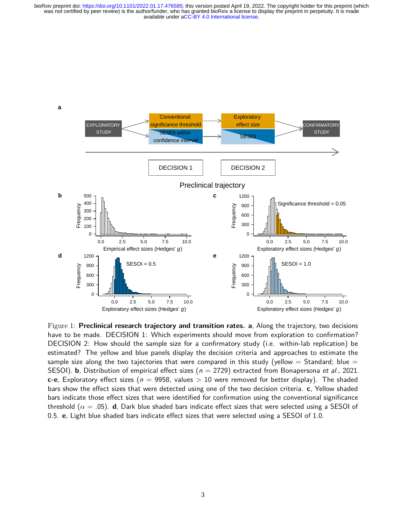

<span id="page-2-0"></span>Figure 1: **Preclinical research trajectory and transition rates. a**, Along the trajectory, two decisions have to be made. DECISION 1: Which experiments should move from exploration to confirmation? DECISION 2: How should the sample size for a confirmatory study (i.e. within-lab replication) be estimated? The yellow and blue panels display the decision criteria and approaches to estimate the sample size along the two tajectories that were compared in this study (yellow  $=$  Standard; blue  $=$ SESOI). **b**, Distribution of empirical effect sizes ( $n = 2729$ ) extracted from Bonapersona et al., 2021. **c-e**, Exploratory effect sizes ( $n = 9958$ , values > 10 were removed for better display). The shaded bars show the effect sizes that were detected using one of the two decision criteria. **c**, Yellow shaded bars indicate those effect sizes that were identified for confirmation using the conventional significance threshold (*α* = .05). **d**, Dark blue shaded bars indicate effect sizes that were selected using a SESOI of 0.5. **e**, Light blue shaded bars indicate effect sizes that were selected using a SESOI of 1.0.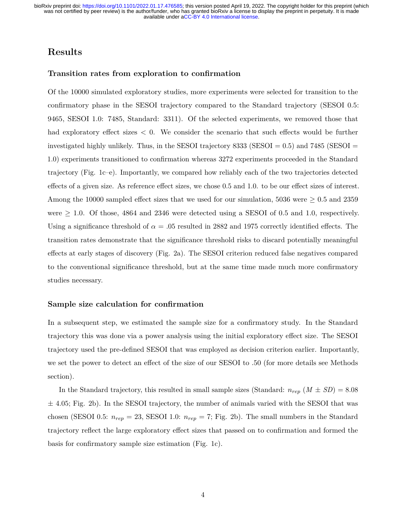## **Results**

## **Transition rates from exploration to confirmation**

Of the 10000 simulated exploratory studies, more experiments were selected for transition to the confirmatory phase in the SESOI trajectory compared to the Standard trajectory (SESOI 0.5: 9465, SESOI 1.0: 7485, Standard: 3311). Of the selected experiments, we removed those that had exploratory effect sizes  $\lt 0$ . We consider the scenario that such effects would be further investigated highly unlikely. Thus, in the SESOI trajectory  $8333$  (SESOI = 0.5) and  $7485$  (SESOI = 1.0) experiments transitioned to confirmation whereas 3272 experiments proceeded in the Standard trajectory (Fig. [1c](#page-2-0)–e). Importantly, we compared how reliably each of the two trajectories detected effects of a given size. As reference effect sizes, we chose 0.5 and 1.0. to be our effect sizes of interest. Among the 10000 sampled effect sizes that we used for our simulation, 5036 were  $\geq 0.5$  and 2359 were  $\geq 1.0$ . Of those, 4864 and 2346 were detected using a SESOI of 0.5 and 1.0, respectively. Using a significance threshold of  $\alpha = 0.05$  resulted in 2882 and 1975 correctly identified effects. The transition rates demonstrate that the significance threshold risks to discard potentially meaningful effects at early stages of discovery (Fig. [2a](#page-4-0)). The SESOI criterion reduced false negatives compared to the conventional significance threshold, but at the same time made much more confirmatory studies necessary.

### **Sample size calculation for confirmation**

In a subsequent step, we estimated the sample size for a confirmatory study. In the Standard trajectory this was done via a power analysis using the initial exploratory effect size. The SESOI trajectory used the pre-defined SESOI that was employed as decision criterion earlier. Importantly, we set the power to detect an effect of the size of our SESOI to .50 (for more details see Methods section).

In the Standard trajectory, this resulted in small sample sizes (Standard:  $n_{rep} (M \pm SD) = 8.08$  $\pm$  4.05; Fig. [2b](#page-4-0)). In the SESOI trajectory, the number of animals varied with the SESOI that was chosen (SESOI 0.5:  $n_{rep} = 23$ , SESOI 1.0:  $n_{rep} = 7$ ; Fig. [2b](#page-4-0)). The small numbers in the Standard trajectory reflect the large exploratory effect sizes that passed on to confirmation and formed the basis for confirmatory sample size estimation (Fig. [1c](#page-2-0)).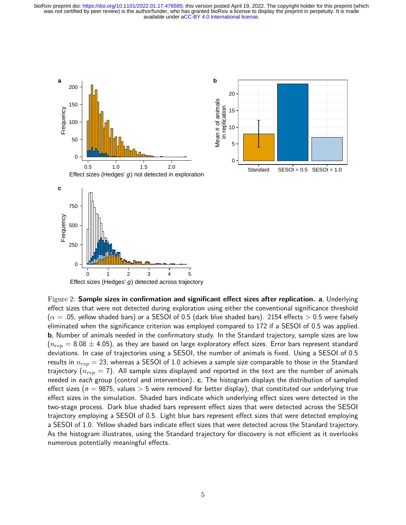

<span id="page-4-0"></span>Figure 2: **Sample sizes in confirmation and significant effect sizes after replication. a**, Underlying effect sizes that were not detected during exploration using either the conventional significance threshold  $(\alpha = .05,$  yellow shaded bars) or a SESOI of 0.5 (dark blue shaded bars). 2154 effects  $> 0.5$  were falsely eliminated when the significance criterion was employed compared to 172 if a SESOI of 0.5 was applied. **b**, Number of animals needed in the confirmatory study. In the Standard trajectory, sample sizes are low  $(n_{rep} = 8.08 \pm 4.05)$ , as they are based on large exploratory effect sizes. Error bars represent standard deviations. In case of trajectories using a SESOI, the number of animals is fixed. Using a SESOI of 0.5 results in *nrep* = 23, whereas a SESOI of 1.0 achieves a sample size comparable to those in the Standard trajectory (*nrep* = 7). All sample sizes displayed and reported in the text are the number of animals needed in each group (control and intervention). **c**, The histogram displays the distribution of sampled effect sizes (n = 9875, values *>* 5 were removed for better display), that constituted our underlying true effect sizes in the simulation. Shaded bars indicate which underlying effect sizes were detected in the two-stage process. Dark blue shaded bars represent effect sizes that were detected across the SESOI trajectory employing a SESOI of 0.5. Light blue bars represent effect sizes that were detected employing a SESOI of 1.0. Yellow shaded bars indicate effect sizes that were detected across the Standard trajectory. As the histogram illustrates, using the Standard trajectory for discovery is not efficient as it overlooks numerous potentially meaningful effects.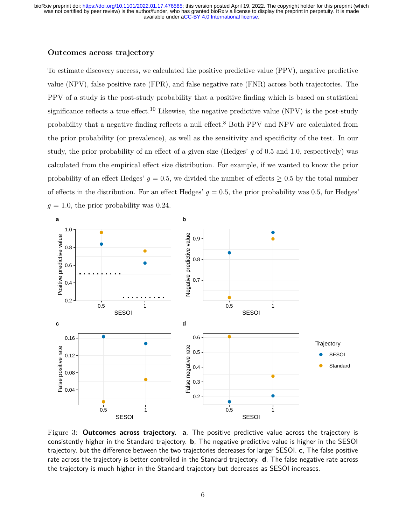## **Outcomes across trajectory**

To estimate discovery success, we calculated the positive predictive value (PPV), negative predictive value (NPV), false positive rate (FPR), and false negative rate (FNR) across both trajectories. The PPV of a study is the post-study probability that a positive finding which is based on statistical significance reflects a true effect.<sup>10</sup> Likewise, the negative predictive value (NPV) is the post-study probability that a negative finding reflects a null effect.<sup>8</sup> Both PPV and NPV are calculated from the prior probability (or prevalence), as well as the sensitivity and specificity of the test. In our study, the prior probability of an effect of a given size (Hedges' *g* of 0.5 and 1.0, respectively) was calculated from the empirical effect size distribution. For example, if we wanted to know the prior probability of an effect Hedges'  $g = 0.5$ , we divided the number of effects  $\geq 0.5$  by the total number of effects in the distribution. For an effect Hedges'  $g = 0.5$ , the prior probability was 0.5, for Hedges'  $q = 1.0$ , the prior probability was 0.24.



<span id="page-5-0"></span>Figure 3: **Outcomes across trajectory. a**, The positive predictive value across the trajectory is consistently higher in the Standard trajectory. **b**, The negative predictive value is higher in the SESOI trajectory, but the difference between the two trajectories decreases for larger SESOI. **c**, The false positive rate across the trajectory is better controlled in the Standard trajectory. **d**, The false negative rate across the trajectory is much higher in the Standard trajectory but decreases as SESOI increases.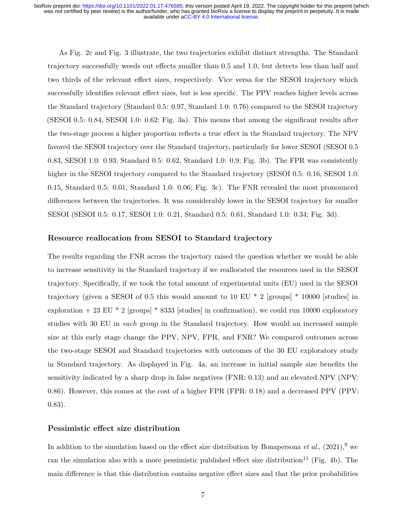As Fig. [2c](#page-4-0) and Fig. [3](#page-5-0) illustrate, the two trajectories exhibit distinct strengths. The Standard trajectory successfully weeds out effects smaller than 0.5 and 1.0, but detects less than half and two thirds of the relevant effect sizes, respectively. Vice versa for the SESOI trajectory which successfully identifies relevant effect sizes, but is less specific. The PPV reaches higher levels across the Standard trajectory (Standard 0.5: 0.97, Standard 1.0: 0.76) compared to the SESOI trajectory (SESOI 0.5: 0.84, SESOI 1.0: 0.62; Fig. [3a](#page-5-0)). This means that among the significant results after the two-stage process a higher proportion reflects a true effect in the Standard trajectory. The NPV favored the SESOI trajectory over the Standard trajectory, particularly for lower SESOI (SESOI 0.5 0.83, SESOI 1.0: 0.93; Standard 0.5: 0.62, Standard 1.0: 0.9; Fig. [3b](#page-5-0)). The FPR was consistently higher in the SESOI trajectory compared to the Standard trajectory (SESOI 0.5: 0.16, SESOI 1.0: 0.15, Standard 0.5: 0.01, Standard 1.0: 0.06; Fig. [3c](#page-5-0)). The FNR revealed the most pronounced differences between the trajectories. It was considerably lower in the SESOI trajectory for smaller SESOI (SESOI 0.5: 0.17, SESOI 1.0: 0.21, Standard 0.5: 0.61, Standard 1.0: 0.34; Fig. [3d](#page-5-0)).

## **Resource reallocation from SESOI to Standard trajectory**

The results regarding the FNR across the trajectory raised the question whether we would be able to increase sensitivity in the Standard trajectory if we reallocated the resources used in the SESOI trajectory. Specifically, if we took the total amount of experimental units (EU) used in the SESOI trajectory (given a SESOI of 0.5 this would amount to 10 EU  $*$  2 [groups]  $*$  10000 [studies] in exploration + 23 EU  $*$  2 [groups]  $*$  8333 [studies] in confirmation), we could run 10000 exploratory studies with 30 EU in *each* group in the Standard trajectory. How would an increased sample size at this early stage change the PPV, NPV, FPR, and FNR? We compared outcomes across the two-stage SESOI and Standard trajectories with outcomes of the 30 EU exploratory study in Standard trajectory. As displayed in Fig. [4a](#page-7-0), an increase in initial sample size benefits the sensitivity indicated by a sharp drop in false negatives (FNR: 0.13) and an elevated NPV (NPV: 0.86). However, this comes at the cost of a higher FPR (FPR: 0.18) and a decreased PPV (PPV: 0.83).

### **Pessimistic effect size distribution**

In addition to the simulation based on the effect size distribution by Bonapersona *et al.*,  $(2021)$ , <sup>9</sup> we ran the simulation also with a more pessimistic published effect size distribution<sup>11</sup> (Fig. [4b](#page-7-0)). The main difference is that this distribution contains negative effect sizes and that the prior probabilities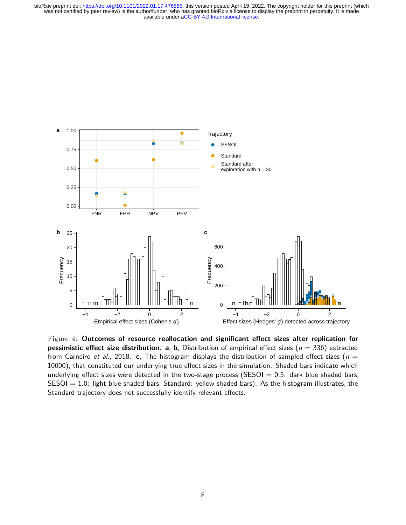

<span id="page-7-0"></span>Figure 4: **Outcomes of resource reallocation and significant effect sizes after replication for pessimistic effect size distribution. a, b,** Distribution of empirical effect sizes ( $n = 336$ ) extracted from Carneiro et al., 2018. **c**, The histogram displays the distribution of sampled effect sizes ( $n =$ 10000), that constituted our underlying true effect sizes in the simulation. Shaded bars indicate which underlying effect sizes were detected in the two-stage process (SESOI  $= 0.5$ : dark blue shaded bars,  $SESOI = 1.0$ : light blue shaded bars, Standard: yellow shaded bars). As the histogram illustrates, the Standard trajectory does not successfully identify relevant effects.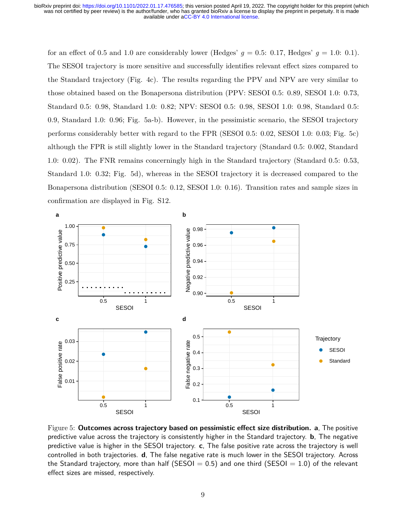for an effect of 0.5 and 1.0 are considerably lower (Hedges'  $g = 0.5$ : 0.17, Hedges'  $g = 1.0$ : 0.1). The SESOI trajectory is more sensitive and successfully identifies relevant effect sizes compared to the Standard trajectory (Fig. [4c](#page-7-0)). The results regarding the PPV and NPV are very similar to those obtained based on the Bonapersona distribution (PPV: SESOI 0.5: 0.89, SESOI 1.0: 0.73, Standard 0.5: 0.98, Standard 1.0: 0.82; NPV: SESOI 0.5: 0.98, SESOI 1.0: 0.98, Standard 0.5: 0.9, Standard 1.0: 0.96; Fig. [5a](#page-8-0)-b). However, in the pessimistic scenario, the SESOI trajectory performs considerably better with regard to the FPR (SESOI 0.5: 0.02, SESOI 1.0: 0.03; Fig. [5c](#page-8-0)) although the FPR is still slightly lower in the Standard trajectory (Standard 0.5: 0.002, Standard 1.0: 0.02). The FNR remains concerningly high in the Standard trajectory (Standard 0.5: 0.53, Standard 1.0: 0.32; Fig. [5d](#page-8-0)), whereas in the SESOI trajectory it is decreased compared to the Bonapersona distribution (SESOI 0.5: 0.12, SESOI 1.0: 0.16). Transition rates and sample sizes in confirmation are displayed in Fig. S12.



<span id="page-8-0"></span>Figure 5: **Outcomes across trajectory based on pessimistic effect size distribution. a**, The positive predictive value across the trajectory is consistently higher in the Standard trajectory. **b**, The negative predictive value is higher in the SESOI trajectory. **c**, The false positive rate across the trajectory is well controlled in both trajectories. **d**, The false negative rate is much lower in the SESOI trajectory. Across the Standard trajectory, more than half (SESOI  $= 0.5$ ) and one third (SESOI  $= 1.0$ ) of the relevant effect sizes are missed, respectively.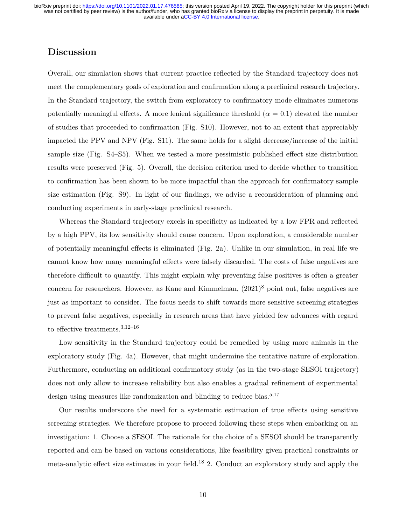## **Discussion**

Overall, our simulation shows that current practice reflected by the Standard trajectory does not meet the complementary goals of exploration and confirmation along a preclinical research trajectory. In the Standard trajectory, the switch from exploratory to confirmatory mode eliminates numerous potentially meaningful effects. A more lenient significance threshold  $(\alpha = 0.1)$  elevated the number of studies that proceeded to confirmation (Fig. S10). However, not to an extent that appreciably impacted the PPV and NPV (Fig. S11). The same holds for a slight decrease/increase of the initial sample size (Fig. S4–S5). When we tested a more pessimistic published effect size distribution results were preserved (Fig. [5\)](#page-8-0). Overall, the decision criterion used to decide whether to transition to confirmation has been shown to be more impactful than the approach for confirmatory sample size estimation (Fig. S9). In light of our findings, we advise a reconsideration of planning and conducting experiments in early-stage preclinical research.

Whereas the Standard trajectory excels in specificity as indicated by a low FPR and reflected by a high PPV, its low sensitivity should cause concern. Upon exploration, a considerable number of potentially meaningful effects is eliminated (Fig. [2a](#page-4-0)). Unlike in our simulation, in real life we cannot know how many meaningful effects were falsely discarded. The costs of false negatives are therefore difficult to quantify. This might explain why preventing false positives is often a greater concern for researchers. However, as Kane and Kimmelman,  $(2021)^8$  point out, false negatives are just as important to consider. The focus needs to shift towards more sensitive screening strategies to prevent false negatives, especially in research areas that have yielded few advances with regard to effective treatments.3,12–16

Low sensitivity in the Standard trajectory could be remedied by using more animals in the exploratory study (Fig. 4a). However, that might undermine the tentative nature of exploration. Furthermore, conducting an additional confirmatory study (as in the two-stage SESOI trajectory) does not only allow to increase reliability but also enables a gradual refinement of experimental design using measures like randomization and blinding to reduce bias.<sup>5,17</sup>

Our results underscore the need for a systematic estimation of true effects using sensitive screening strategies. We therefore propose to proceed following these steps when embarking on an investigation: 1. Choose a SESOI. The rationale for the choice of a SESOI should be transparently reported and can be based on various considerations, like feasibility given practical constraints or meta-analytic effect size estimates in your field.<sup>18</sup> 2. Conduct an exploratory study and apply the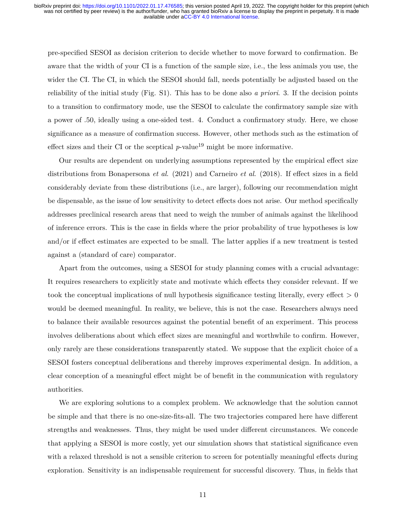pre-specified SESOI as decision criterion to decide whether to move forward to confirmation. Be aware that the width of your CI is a function of the sample size, i.e., the less animals you use, the wider the CI. The CI, in which the SESOI should fall, needs potentially be adjusted based on the reliability of the initial study (Fig. S1). This has to be done also *a priori*. 3. If the decision points to a transition to confirmatory mode, use the SESOI to calculate the confirmatory sample size with a power of .50, ideally using a one-sided test. 4. Conduct a confirmatory study. Here, we chose significance as a measure of confirmation success. However, other methods such as the estimation of effect sizes and their CI or the sceptical  $p$ -value<sup>19</sup> might be more informative.

Our results are dependent on underlying assumptions represented by the empirical effect size distributions from Bonapersona *et al*. (2021) and Carneiro *et al*. (2018). If effect sizes in a field considerably deviate from these distributions (i.e., are larger), following our recommendation might be dispensable, as the issue of low sensitivity to detect effects does not arise. Our method specifically addresses preclinical research areas that need to weigh the number of animals against the likelihood of inference errors. This is the case in fields where the prior probability of true hypotheses is low and/or if effect estimates are expected to be small. The latter applies if a new treatment is tested against a (standard of care) comparator.

Apart from the outcomes, using a SESOI for study planning comes with a crucial advantage: It requires researchers to explicitly state and motivate which effects they consider relevant. If we took the conceptual implications of null hypothesis significance testing literally, every effect  $> 0$ would be deemed meaningful. In reality, we believe, this is not the case. Researchers always need to balance their available resources against the potential benefit of an experiment. This process involves deliberations about which effect sizes are meaningful and worthwhile to confirm. However, only rarely are these considerations transparently stated. We suppose that the explicit choice of a SESOI fosters conceptual deliberations and thereby improves experimental design. In addition, a clear conception of a meaningful effect might be of benefit in the communication with regulatory authorities.

We are exploring solutions to a complex problem. We acknowledge that the solution cannot be simple and that there is no one-size-fits-all. The two trajectories compared here have different strengths and weaknesses. Thus, they might be used under different circumstances. We concede that applying a SESOI is more costly, yet our simulation shows that statistical significance even with a relaxed threshold is not a sensible criterion to screen for potentially meaningful effects during exploration. Sensitivity is an indispensable requirement for successful discovery. Thus, in fields that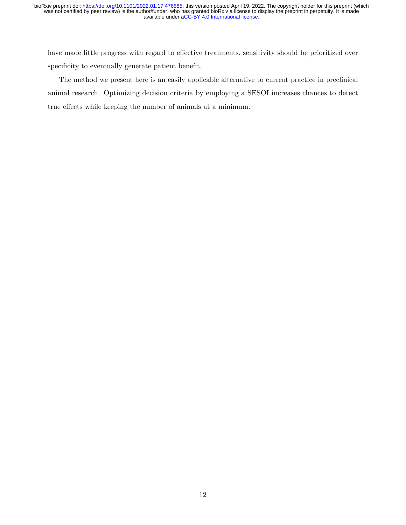have made little progress with regard to effective treatments, sensitivity should be prioritized over specificity to eventually generate patient benefit.

The method we present here is an easily applicable alternative to current practice in preclinical animal research. Optimizing decision criteria by employing a SESOI increases chances to detect true effects while keeping the number of animals at a minimum.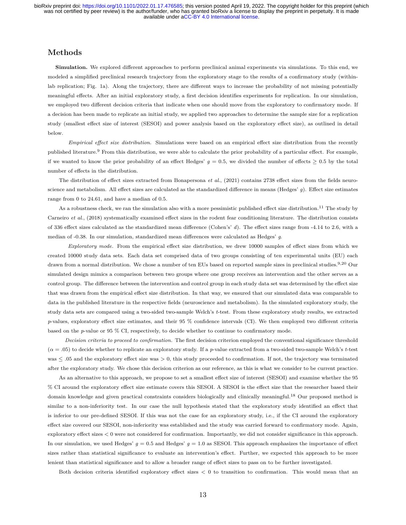## **Methods**

**Simulation.** We explored different approaches to perform preclinical animal experiments via simulations. To this end, we modeled a simplified preclinical research trajectory from the exploratory stage to the results of a confirmatory study (withinlab replication; Fig. [1a](#page-2-0)). Along the trajectory, there are different ways to increase the probability of not missing potentially meaningful effects. After an initial exploratory study, a first decision identifies experiments for replication. In our simulation, we employed two different decision criteria that indicate when one should move from the exploratory to confirmatory mode. If a decision has been made to replicate an initial study, we applied two approaches to determine the sample size for a replication study (smallest effect size of interest (SESOI) and power analysis based on the exploratory effect size), as outlined in detail below.

*Empirical effect size distribution.* Simulations were based on an empirical effect size distribution from the recently published literature.<sup>9</sup> From this distribution, we were able to calculate the prior probability of a particular effect. For example, if we wanted to know the prior probability of an effect Hedges'  $g = 0.5$ , we divided the number of effects  $\geq 0.5$  by the total number of effects in the distribution.

The distribution of effect sizes extracted from Bonapersona *et al*., (2021) contains 2738 effect sizes from the fields neuroscience and metabolism. All effect sizes are calculated as the standardized difference in means (Hedges' *g*). Effect size estimates range from 0 to 24.61, and have a median of 0.5.

As a robustness check, we ran the simulation also with a more pessimistic published effect size distribution.<sup>11</sup> The study by Carneiro *et al*., (2018) systematically examined effect sizes in the rodent fear conditioning literature. The distribution consists of 336 effect sizes calculated as the standardized mean difference (Cohen's' *d*). The effect sizes range from -4.14 to 2.6, with a median of -0.38. In our simulation, standardized mean differences were calculated as Hedges' *g*.

*Exploratory mode.* From the empirical effect size distribution, we drew 10000 samples of effect sizes from which we created 10000 study data sets. Each data set comprised data of two groups consisting of ten experimental units (EU) each drawn from a normal distribution. We chose a number of ten EUs based on reported sample sizes in preclinical studies.<sup>9,20</sup> Our simulated design mimics a comparison between two groups where one group receives an intervention and the other serves as a control group. The difference between the intervention and control group in each study data set was determined by the effect size that was drawn from the empirical effect size distribution. In that way, we ensured that our simulated data was comparable to data in the published literature in the respective fields (neuroscience and metabolism). In the simulated exploratory study, the study data sets are compared using a two-sided two-sample Welch's *t*-test. From these exploratory study results, we extracted *p*-values, exploratory effect size estimates, and their 95 % confidence intervals (CI). We then employed two different criteria based on the *p*-value or 95 % CI, respectively, to decide whether to continue to confirmatory mode.

*Decision criteria to proceed to confirmation.* The first decision criterion employed the conventional significance threshold (*α* = .05) to decide whether to replicate an exploratory study. If a *p*-value extracted from a two-sided two-sample Welch's *t*-test was  $\leq$  0.05 and the exploratory effect size was  $>$  0, this study proceeded to confirmation. If not, the trajectory was terminated after the exploratory study. We chose this decision criterion as our reference, as this is what we consider to be current practice.

As an alternative to this approach, we propose to set a smallest effect size of interest (SESOI) and examine whether the 95 % CI around the exploratory effect size estimate covers this SESOI. A SESOI is the effect size that the researcher based their domain knowledge and given practical constraints considers biologically and clinically meaningful.<sup>18</sup> Our proposed method is similar to a non-inferiority test. In our case the null hypothesis stated that the exploratory study identified an effect that is inferior to our pre-defined SESOI. If this was not the case for an exploratory study, i.e., if the CI around the exploratory effect size covered our SESOI, non-inferiority was established and the study was carried forward to confirmatory mode. Again, exploratory effect sizes < 0 were not considered for confirmation. Importantly, we did not consider significance in this approach. In our simulation, we used Hedges'  $g = 0.5$  and Hedges'  $g = 1.0$  as SESOI. This approach emphasizes the importance of effect sizes rather than statistical significance to evaluate an intervention's effect. Further, we expected this approach to be more lenient than statistical significance and to allow a broader range of effect sizes to pass on to be further investigated.

Both decision criteria identified exploratory effect sizes  $\lt 0$  to transition to confirmation. This would mean that an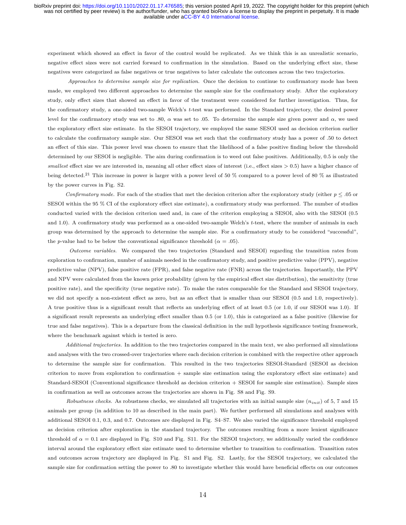experiment which showed an effect in favor of the control would be replicated. As we think this is an unrealistic scenario, negative effect sizes were not carried forward to confirmation in the simulation. Based on the underlying effect size, these negatives were categorized as false negatives or true negatives to later calculate the outcomes across the two trajectories.

*Approaches to determine sample size for replication.* Once the decision to continue to confirmatory mode has been made, we employed two different approaches to determine the sample size for the confirmatory study. After the exploratory study, only effect sizes that showed an effect in favor of the treatment were considered for further investigation. Thus, for the confirmatory study, a one-sided two-sample Welch's *t*-test was performed. In the Standard trajectory, the desired power level for the confirmatory study was set to .80, *α* was set to .05. To determine the sample size given power and *α*, we used the exploratory effect size estimate. In the SESOI trajectory, we employed the same SESOI used as decision criterion earlier to calculate the confirmatory sample size. Our SESOI was set such that the confirmatory study has a power of .50 to detect an effect of this size. This power level was chosen to ensure that the likelihood of a false positive finding below the threshold determined by our SESOI is negligible. The aim during confirmation is to weed out false positives. Additionally, 0.5 is only the *smallest* effect size we are interested in, meaning all other effect sizes of interest (i.e., effect sizes > 0.5) have a higher chance of being detected.<sup>21</sup> This increase in power is larger with a power level of 50 % compared to a power level of 80 % as illustrated by the power curves in Fig. S2.

*Confirmatory mode.* For each of the studies that met the decision criterion after the exploratory study (either  $p \leq .05$  or SESOI within the 95 % CI of the exploratory effect size estimate), a confirmatory study was performed. The number of studies conducted varied with the decision criterion used and, in case of the criterion employing a SESOI, also with the SESOI (0.5 and 1.0). A confirmatory study was performed as a one-sided two-sample Welch's *t*-test, where the number of animals in each group was determined by the approach to determine the sample size. For a confirmatory study to be considered "successful", the *p*-value had to be below the conventional significance threshold ( $\alpha = .05$ ).

*Outcome variables.* We compared the two trajectories (Standard and SESOI) regarding the transition rates from exploration to confirmation, number of animals needed in the confirmatory study, and positive predictive value (PPV), negative predictive value (NPV), false positive rate (FPR), and false negative rate (FNR) across the trajectories. Importantly, the PPV and NPV were calculated from the known prior probability (given by the empirical effect size distribution), the sensitivity (true positive rate), and the specificity (true negative rate). To make the rates comparable for the Standard and SESOI trajectory, we did not specify a non-existent effect as zero, but as an effect that is smaller than our SESOI (0.5 and 1.0, respectively). A true positive thus is a significant result that reflects an underlying effect of at least 0.5 (or 1.0, if our SESOI was 1.0). If a significant result represents an underlying effect smaller than 0.5 (or 1.0), this is categorized as a false positive (likewise for true and false negatives). This is a departure from the classical definition in the null hypothesis significance testing framework, where the benchmark against which is tested is zero.

*Additional trajectories.* In addition to the two trajectories compared in the main text, we also performed all simulations and analyses with the two crossed-over trajectories where each decision criterion is combined with the respective other approach to determine the sample size for confirmation. This resulted in the two trajectories SESOI-Standard (SESOI as decision criterion to move from exploration to confirmation + sample size estimation using the exploratory effect size estimate) and Standard-SESOI (Conventional significance threshold as decision criterion + SESOI for sample size estimation). Sample sizes in confirmation as well as outcomes across the trajectories are shown in Fig. S8 and Fig. S9.

*Robustness checks.* As robustness checks, we simulated all trajectories with an initial sample size (*ninit*) of 5, 7 and 15 animals per group (in addition to 10 as described in the main part). We further performed all simulations and analyses with additional SESOI 0.1, 0.3, and 0.7. Outcomes are displayed in Fig. S4–S7. We also varied the significance threshold employed as decision criterion after exploration in the standard trajectory. The outcomes resulting from a more lenient significance threshold of  $\alpha = 0.1$  are displayed in Fig. S10 and Fig. S11. For the SESOI trajectory, we additionally varied the confidence interval around the exploratory effect size estimate used to determine whether to transition to confirmation. Transition rates and outcomes across trajectory are displayed in Fig. S1 and Fig. S2. Lastly, for the SESOI trajectory, we calculated the sample size for confirmation setting the power to .80 to investigate whether this would have beneficial effects on our outcomes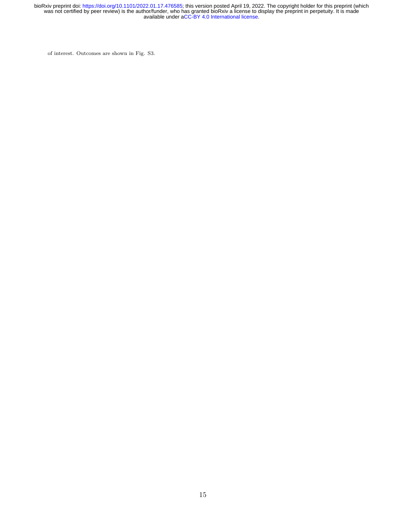of interest. Outcomes are shown in Fig. S3.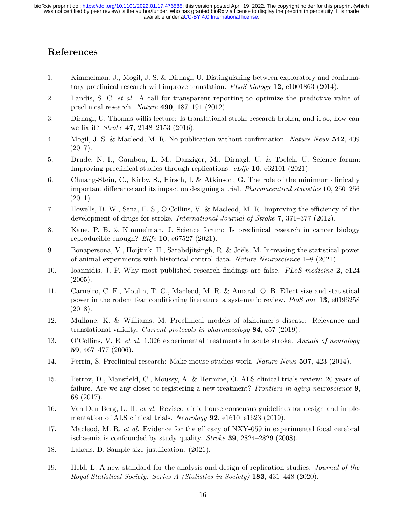# **References**

- 1. Kimmelman, J., Mogil, J. S. & Dirnagl, U. Distinguishing between exploratory and confirmatory preclinical research will improve translation. *PLoS biology* **12**, e1001863 (2014).
- 2. Landis, S. C. *et al.* A call for transparent reporting to optimize the predictive value of preclinical research. *Nature* **490**, 187–191 (2012).
- 3. Dirnagl, U. Thomas willis lecture: Is translational stroke research broken, and if so, how can we fix it? *Stroke* **47**, 2148–2153 (2016).
- 4. Mogil, J. S. & Macleod, M. R. No publication without confirmation. *Nature News* **542**, 409 (2017).
- 5. Drude, N. I., Gamboa, L. M., Danziger, M., Dirnagl, U. & Toelch, U. Science forum: Improving preclinical studies through replications. *eLife* **10**, e62101 (2021).
- 6. Chuang-Stein, C., Kirby, S., Hirsch, I. & Atkinson, G. The role of the minimum clinically important difference and its impact on designing a trial. *Pharmaceutical statistics* **10**, 250–256 (2011).
- 7. Howells, D. W., Sena, E. S., O'Collins, V. & Macleod, M. R. Improving the efficiency of the development of drugs for stroke. *International Journal of Stroke* **7**, 371–377 (2012).
- 8. Kane, P. B. & Kimmelman, J. Science forum: Is preclinical research in cancer biology reproducible enough? *Elife* **10**, e67527 (2021).
- 9. Bonapersona, V., Hoijtink, H., Sarabdjitsingh, R. & Joëls, M. Increasing the statistical power of animal experiments with historical control data. *Nature Neuroscience* 1–8 (2021).
- 10. Ioannidis, J. P. Why most published research findings are false. *PLoS medicine* **2**, e124  $(2005).$
- 11. Carneiro, C. F., Moulin, T. C., Macleod, M. R. & Amaral, O. B. Effect size and statistical power in the rodent fear conditioning literature–a systematic review. *PloS one* **13**, e0196258 (2018).
- 12. Mullane, K. & Williams, M. Preclinical models of alzheimer's disease: Relevance and translational validity. *Current protocols in pharmacology* **84**, e57 (2019).
- 13. O'Collins, V. E. *et al.* 1,026 experimental treatments in acute stroke. *Annals of neurology* **59**, 467–477 (2006).
- 14. Perrin, S. Preclinical research: Make mouse studies work. *Nature News* **507**, 423 (2014).
- 15. Petrov, D., Mansfield, C., Moussy, A. & Hermine, O. ALS clinical trials review: 20 years of failure. Are we any closer to registering a new treatment? *Frontiers in aging neuroscience* **9**, 68 (2017).
- 16. Van Den Berg, L. H. *et al.* Revised airlie house consensus guidelines for design and implementation of ALS clinical trials. *Neurology* **92**, e1610–e1623 (2019).
- 17. Macleod, M. R. *et al.* Evidence for the efficacy of NXY-059 in experimental focal cerebral ischaemia is confounded by study quality. *Stroke* **39**, 2824–2829 (2008).
- 18. Lakens, D. Sample size justification. (2021).
- 19. Held, L. A new standard for the analysis and design of replication studies. *Journal of the Royal Statistical Society: Series A (Statistics in Society)* **183**, 431–448 (2020).